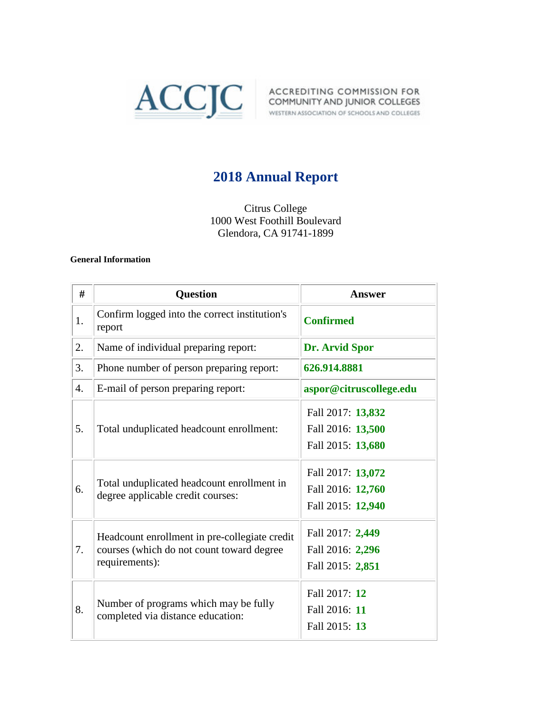

# **2018 Annual Report**

Citrus College 1000 West Foothill Boulevard Glendora, CA 91741-1899

#### **General Information**

| #                | <b>Question</b>                                                                                              | Answer                                                      |
|------------------|--------------------------------------------------------------------------------------------------------------|-------------------------------------------------------------|
| 1.               | Confirm logged into the correct institution's<br>report                                                      | <b>Confirmed</b>                                            |
| 2.               | Name of individual preparing report:                                                                         | Dr. Arvid Spor                                              |
| 3.               | Phone number of person preparing report:                                                                     | 626.914.8881                                                |
| $\overline{4}$ . | E-mail of person preparing report:                                                                           | aspor@citruscollege.edu                                     |
| 5.               | Total unduplicated headcount enrollment:                                                                     | Fall 2017: 13,832<br>Fall 2016: 13,500<br>Fall 2015: 13,680 |
| 6.               | Total unduplicated headcount enrollment in<br>degree applicable credit courses:                              | Fall 2017: 13,072<br>Fall 2016: 12,760<br>Fall 2015: 12,940 |
| 7.               | Headcount enrollment in pre-collegiate credit<br>courses (which do not count toward degree<br>requirements): | Fall 2017: 2,449<br>Fall 2016: 2,296<br>Fall 2015: 2,851    |
| 8.               | Number of programs which may be fully<br>completed via distance education:                                   | Fall 2017: 12<br>Fall 2016: 11<br>Fall 2015: 13             |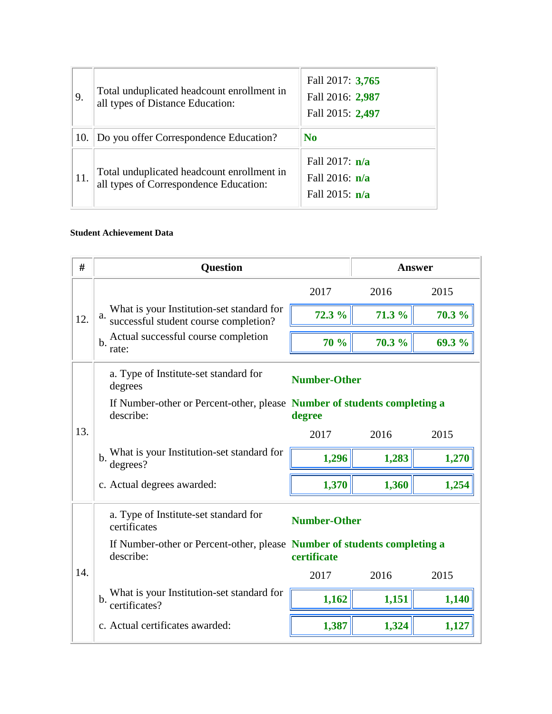| 9.  | Total unduplicated headcount enrollment in<br>all types of Distance Education:       | Fall 2017: 3,765<br>Fall 2016: 2,987<br>Fall 2015: 2,497 |
|-----|--------------------------------------------------------------------------------------|----------------------------------------------------------|
| 10. | Do you offer Correspondence Education?                                               | N <sub>0</sub>                                           |
| 11. | Total unduplicated headcount enrollment in<br>all types of Correspondence Education: | Fall 2017: $n/a$<br>Fall 2016: $n/a$<br>Fall 2015: $n/a$ |

#### **Student Achievement Data**

| #                                                                            | <b>Question</b>                                                                                                                                | <b>Answer</b>       |        |        |  |  |
|------------------------------------------------------------------------------|------------------------------------------------------------------------------------------------------------------------------------------------|---------------------|--------|--------|--|--|
|                                                                              |                                                                                                                                                | 2017                | 2016   | 2015   |  |  |
| 12.                                                                          | What is your Institution-set standard for<br>a. successful student course completion?<br>Actual successful course completion<br>$b$ .<br>rate: | 72.3 %              | 71.3 % | 70.3 % |  |  |
|                                                                              |                                                                                                                                                | 70 %                | 70.3 % | 69.3 % |  |  |
|                                                                              | a. Type of Institute-set standard for<br>degrees                                                                                               | <b>Number-Other</b> |        |        |  |  |
|                                                                              | If Number-other or Percent-other, please Number of students completing a<br>describe:                                                          | degree              |        |        |  |  |
| 13.                                                                          |                                                                                                                                                | 2017                | 2016   | 2015   |  |  |
|                                                                              | What is your Institution-set standard for<br>$\mathbf b$ .<br>degrees?                                                                         | 1,296               | 1,283  | 1,270  |  |  |
|                                                                              | c. Actual degrees awarded:                                                                                                                     | 1,370               | 1,360  | 1,254  |  |  |
| a. Type of Institute-set standard for<br><b>Number-Other</b><br>certificates |                                                                                                                                                |                     |        |        |  |  |
|                                                                              | If Number-other or Percent-other, please Number of students completing a<br>describe:                                                          | certificate         |        |        |  |  |
| 14.                                                                          |                                                                                                                                                | 2017                | 2016   | 2015   |  |  |
|                                                                              | What is your Institution-set standard for<br>b.<br>certificates?                                                                               | 1,162               | 1,151  | 1,140  |  |  |
|                                                                              | c. Actual certificates awarded:                                                                                                                | 1,387               | 1,324  | 1,127  |  |  |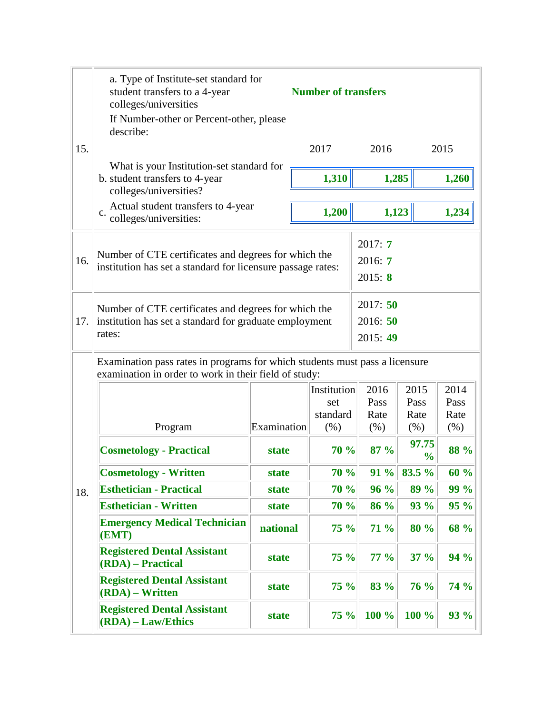|     | a. Type of Institute-set standard for<br>student transfers to a 4-year<br>colleges/universities<br>If Number-other or Percent-other, please<br>describe: |                                 | <b>Number of transfers</b>                    |                              |                              |                              |
|-----|----------------------------------------------------------------------------------------------------------------------------------------------------------|---------------------------------|-----------------------------------------------|------------------------------|------------------------------|------------------------------|
| 15. |                                                                                                                                                          |                                 | 2017                                          | 2016                         |                              | 2015                         |
|     | What is your Institution-set standard for<br>b. student transfers to 4-year<br>colleges/universities?                                                    |                                 | 1,310                                         | 1,285                        |                              | 1,260                        |
|     | Actual student transfers to 4-year<br>$\mathbf{c}$ .<br>colleges/universities:                                                                           |                                 | 1,200                                         | 1,123                        |                              | 1,234                        |
| 16. | 2017:7<br>Number of CTE certificates and degrees for which the<br>2016: 7<br>institution has set a standard for licensure passage rates:<br>2015: 8      |                                 |                                               |                              |                              |                              |
| 17. | Number of CTE certificates and degrees for which the<br>institution has set a standard for graduate employment<br>rates:                                 | 2017:50<br>2016: 50<br>2015: 49 |                                               |                              |                              |                              |
|     | Examination pass rates in programs for which students must pass a licensure<br>examination in order to work in their field of study:                     |                                 |                                               |                              |                              |                              |
|     | Program                                                                                                                                                  | Examination                     | <b>Institution</b><br>set<br>standard<br>(% ) | 2016<br>Pass<br>Rate<br>(% ) | 2015<br>Pass<br>Rate<br>(% ) | 2014<br>Pass<br>Rate<br>(% ) |
|     | <b>Cosmetology - Practical</b>                                                                                                                           | state                           | 70 %                                          | 87%                          | 97.75<br>$\frac{0}{0}$       | 88 %                         |
|     | <b>Cosmetology - Written</b>                                                                                                                             | state                           | 70 %                                          | 91 %                         | 83.5 %                       | 60 %                         |
| 18. | <b>Esthetician - Practical</b>                                                                                                                           | state                           | 70 %                                          | 96%                          | 89 %                         | 99 %                         |
|     | <b>Esthetician - Written</b>                                                                                                                             | state                           | 70%                                           | <b>86 %</b>                  | <b>93 %</b>                  | 95%                          |
|     | <b>Emergency Medical Technician</b><br>(EMT)                                                                                                             | <b>national</b>                 | 75%                                           | <b>71 %</b>                  | 80 %                         | 68 %                         |
|     | <b>Registered Dental Assistant</b><br>(RDA) - Practical                                                                                                  | state                           | 75%                                           | $77\%$                       | $37 \%$                      | 94 %                         |
|     | <b>Registered Dental Assistant</b><br>(RDA) – Written                                                                                                    | state                           | 75%                                           | 83 %                         | <b>76 %</b>                  | 74 %                         |
|     | <b>Registered Dental Assistant</b><br>(RDA) - Law/Ethics                                                                                                 | state                           | 75%                                           | 100 %                        | 100 %                        | <b>93 %</b>                  |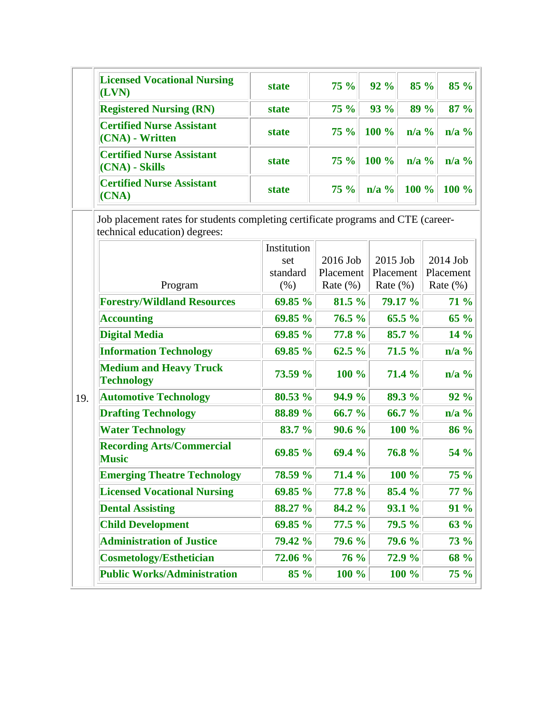|     | <b>Licensed Vocational Nursing</b><br>(LVN)                                                                        | <b>state</b> | <b>75 %</b>  | 92%              | 85 %<br>85 %       |
|-----|--------------------------------------------------------------------------------------------------------------------|--------------|--------------|------------------|--------------------|
|     | <b>Registered Nursing (RN)</b>                                                                                     | state        | <b>75 %</b>  | <b>93 %</b>      | 89 %<br>87 %       |
|     | <b>Certified Nurse Assistant</b><br>(CNA) - Written                                                                | state        | 75%          | 100 %            | $n/a$ %<br>$n/a$ % |
|     | <b>Certified Nurse Assistant</b><br>(CNA) - Skills                                                                 | <b>state</b> | 75%          | 100 %            | $n/a$ %<br>$n/a$ % |
|     | <b>Certified Nurse Assistant</b><br>(CNA)                                                                          | state        | <b>75 %</b>  | $n/a$ %<br>100 % | 100 %              |
|     | Job placement rates for students completing certificate programs and CTE (career-<br>technical education) degrees: |              |              |                  |                    |
|     |                                                                                                                    | Institution  |              |                  |                    |
|     |                                                                                                                    | set          | 2016 Job     | 2015 Job         | 2014 Job           |
|     |                                                                                                                    | standard     | Placement    | Placement        | Placement          |
|     | Program                                                                                                            | (% )         | Rate $(\% )$ | Rate $(\% )$     | Rate $(\% )$       |
|     | <b>Forestry/Wildland Resources</b>                                                                                 | 69.85 %      | 81.5 %       | 79.17 %          | 71 %               |
|     | <b>Accounting</b>                                                                                                  | 69.85 %      | 76.5%        | 65.5%            | $65\%$             |
|     | <b>Digital Media</b>                                                                                               | 69.85 %      | 77.8 %       | 85.7 %           | 14 %               |
|     | <b>Information Technology</b>                                                                                      | 69.85 %      | 62.5%        | 71.5 %           | $n/a$ %            |
|     | <b>Medium and Heavy Truck</b><br><b>Technology</b>                                                                 | 73.59 %      | 100 %        | 71.4 %           | $n/a$ %            |
| 19. | <b>Automotive Technology</b>                                                                                       | 80.53 %      | 94.9 %       | 89.3 %           | 92 %               |
|     | <b>Drafting Technology</b>                                                                                         | 88.89 %      | 66.7 %       | 66.7 %           | $n/a$ %            |
|     | <b>Water Technology</b>                                                                                            | 83.7 %       | 90.6 %       | 100 %            | 86 %               |
|     | <b>Recording Arts/Commercial</b><br><b>Music</b>                                                                   | 69.85 %      | 69.4 %       | 76.8%            | 54 %               |
|     | <b>Emerging Theatre Technology</b>                                                                                 | 78.59 %      | 71.4 %       | 100 %            | <b>75 %</b>        |
|     | <b>Licensed Vocational Nursing</b>                                                                                 | 69.85 %      | 77.8 %       | 85.4 %           | 77 %               |
|     | <b>Dental Assisting</b>                                                                                            | 88.27 %      | 84.2 %       | 93.1%            | 91 %               |
|     | <b>Child Development</b>                                                                                           | 69.85 %      | 77.5%        | 79.5 %           | 63 %               |
|     | <b>Administration of Justice</b>                                                                                   | 79.42 %      | 79.6 %       | 79.6 %           | 73 %               |
|     |                                                                                                                    |              |              | 72.9 %           |                    |
|     | <b>Cosmetology/Esthetician</b>                                                                                     | 72.06 %      | 76 %         |                  | 68 %               |